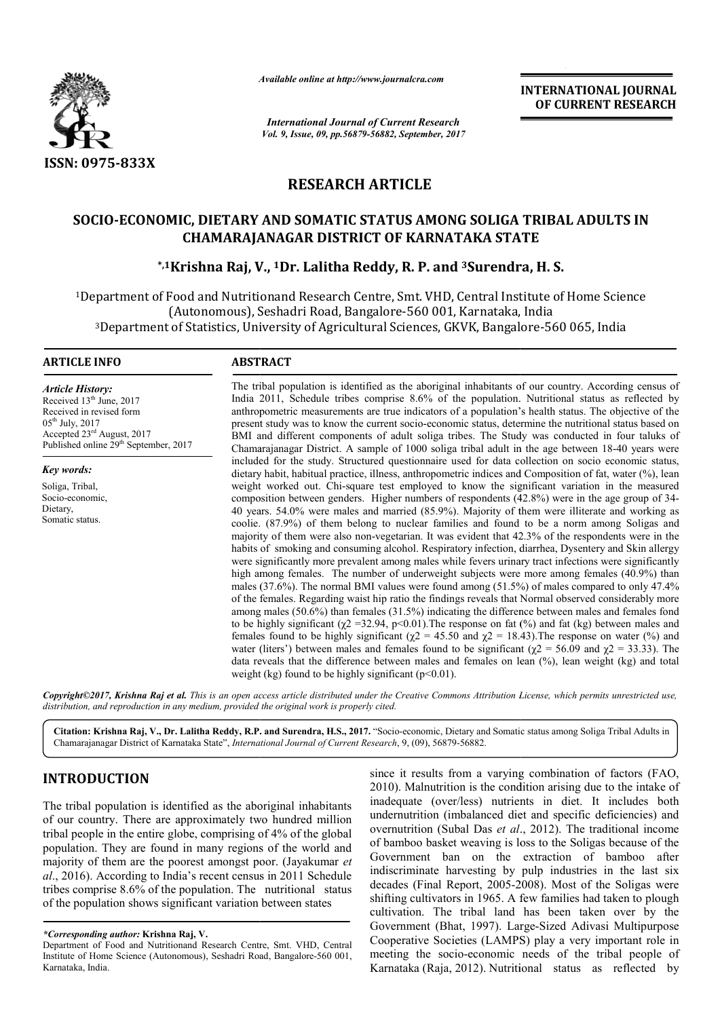

*Available online at http://www.journal http://www.journalcra.com*

*International Journal of Current Research Vol. 9, Issue, 09, pp.56879-56882, September, 2017* **INTERNATIONAL JOURNAL OF CURRENT RESEARCH** 

# **RESEARCH ARTICLE**

# SOCIO-ECONOMIC, DIETARY AND SOMATIC STATUS AMONG SOLIGA TRIBAL ADULTS IN **CHAMARAJANAGAR DISTRICT OF KARNATAKA STATE \*,1Krishna Raj, V ECONOMIC, V., 1Dr. Lalitha Reddy, R. P. and 3Surendra Surendra, H. S.**

<sup>1</sup>Department of Food and Nutritionand Research Centre, Smt. VHD, Central Institute of Home Science (Autonomous), Seshadri Road, Bangalore-560 001, Karnataka, India Autonomous), Seshadri Road, Bangalore-560 001, Karnataka, India)<br>Department of Statistics, University of Agricultural Sciences, GKVK, Bangalore-560 065, India

#### **ARTICLE INFO ABSTRACT**

*Article History:* Received 13<sup>th</sup> June, 2017 Received in revised form  $05^{th}$  July, 2017 Accepted 23rd August, 2017 Published online  $29<sup>th</sup>$  September, 2017

*Key words:* Soliga, Tribal, Socio-economic, Dietary, Somatic status.

The tribal population is identified as the aboriginal inhabitants of our country. According census of The tribal population is identified as the aboriginal inhabitants of our country. According census of India 2011, Schedule tribes comprise 8.6% of the population. Nutritional status as reflected by anthropometric measurements are true indicators of a population's health status. The objective of the present study was to know the current socio-economic status, determine the nutritional status based on BMI and different components of adult soliga tribes. The Study was conducted in four taluks of Chamarajanagar District. A sample of 1000 soliga tribal adult in the age between 18 included for the study. Structured questionnaire used for data collection on socio economic status, dietary habit, habitual practice, illness, anthropometric indices and Composition of fat, water (%), lean weight worked out. Chi Chi-square test employed to know the significant variation in the measured composition between genders. Higher numbers of respondents (42 40 years. 54.0% were males and married (85.9%). Majority of them were illiterate and working as coolie. (87.9%) of them belong to nuclear families and found to be a norm among Soligas and majority of them were also non-vegetarian. It was evident that 42.3% of the respondents were in the habits of smoking and consuming alcohol. Respiratory infection, diarrhea, Dysentery and Skin allergy were significantly more prevalent among males while fevers urinary tract infections were significantly high among females. The number of underweight subjects were more among females (40.9%) than males (37.6%). The normal BMI values were found among (51.5%) of males compared to only 47.4% of the females. Regarding waist hip ratio the findings reveals that Normal observed considerably more among males (50.6%) than females (31.5%) indicating the difference between males and females fond to be highly significant ( $\chi$ 2 =32.94, p<0.01). The response on fat (%) and fat (kg) between males and females found to be highly significant ( $\chi$ 2 = 45.50 and  $\chi$ 2 = 18.43). The response on water (%) and water (liters') between males and females found to be significant ( $\chi$ 2 = 56.09 and  $\chi$ 2 = 33.33). The data reveals that the difference between males and females on lean  $(\%)$ , lean weight (kg) and total weight (kg) found to be highly significant ( $p<0.01$ ). present study was to know the current socio-economic status, determine the nutritional status based on<br>BMI and different components of adult soliga tribes. The Study was conducted in four taluks of<br>Chamarajanagar District. included for the study. Structured questionnaire used for data collection on socio economic status, dietary habit, habitual practice, illness, anthropometric indices and Composition of fat, water (%), lean weight worked ou 40 years. 54.0% were males and married (85.9%). Majority of them were illiterate and working as coolie. (87.9%) of them belong to nuclear families and found to be a norm among Soligas and majority of them were also non-veg high among females. The number of underweight subjects were more among females (40.9%) than males (37.6%). The normal BMI values were found among (51.5%) of males compared to only 47.4% of the females. Regarding waist hip

*Copyright©2017, Krishna Raj et al. This is an open access article distributed under the Creative Commons Att Attribution License, which ribution permits unrestricted use, distribution, and reproduction in any medium, provided the original work is properly cited.*

Citation: Krishna Raj, V., Dr. Lalitha Reddy, R.P. and Surendra, H.S., 2017. "Socio-economic, Dietary and Somatic status among Soliga Tribal Adults in Chamarajanagar District of Karnataka State", *International Journal of Current Research* , 9, (09), 56879-56882.

## **INTRODUCTION**

The tribal population is identified as the aboriginal inhabitants of our country. There are approximately two hundred million tribal people in the entire globe, comprising of 4% of the global population. They are found in many regions of the world and majority of them are the poorest amongst poor. (Jayakumar et *al*., 2016). According to India's recent census in 2011 Schedule tribes comprise 8.6% of the population. The nutritional status of the population shows significant variation between states

since it results from a varying combination of factors (FAO, 2010). Malnutrition is the condition arising due to the intake of inadequate (over/less) nutrients in diet. It includes both undernutrition (imbalanced diet and specific deficiencies) and overnutrition (Subal Das *et al*., 2012). The traditional income of bamboo basket weaving is loss to the Soligas because of the Government ban on the extraction of bamboo after indiscriminate harvesting by pulp industries in the last six decades (Final Report, 2005-2008). Most of the Soligas were shifting cultivators in 1965. A few families had taken to plough cultivation. The tribal land has been taken over by the Government (Bhat, 1997). Large-Sized Adivasi Multipurpose Cooperative Societies (LAMPS) play a very important role in meeting the socio-economic needs of the tribal people of meeting the socio-economic needs of the tribal people of Karnataka (Raja, 2012). Nutritional status as reflected by since it results from a varying combination of factors (FAO, 2010). Malnutrition is the condition arising due to the intake of inadequate (over/less) nutrients in diet. It includes both undernutrition (imbalanced diet and of bamboo basket weaving is loss to the Soligas because of the Government ban on the extraction of bamboo after indiscriminate harvesting by pulp industries in the last six decades (Final Report, 2005-2008). Most of the So shifting cultivators in 1965. A few families had taken to plough cultivation. The tribal land has been taken over by the Government (Bhat, 1997). Large-Sized Adivasi Multipurpose

*<sup>\*</sup>Corresponding author:* **Krishna Raj, V.**

Department of Food and Nutritionand Research Centre, Smt. VHD, Central Institute of Home Science (Autonomous), Seshadri Road, Bangalore-560 001, Karnataka, India.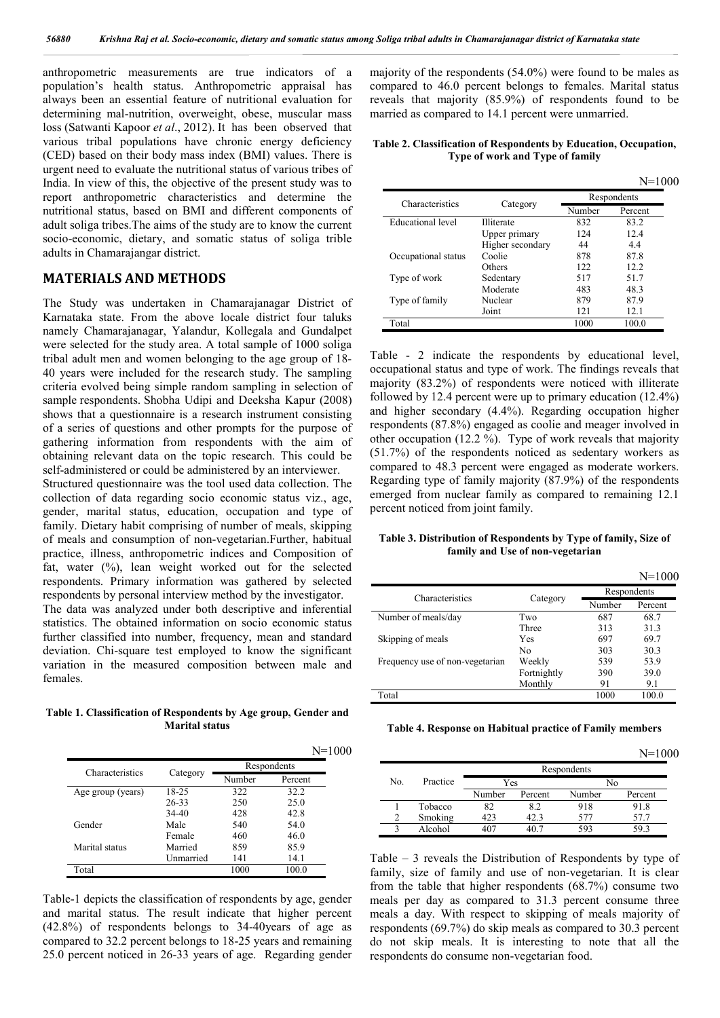anthropometric measurements are true indicators of a population's health status. Anthropometric appraisal has always been an essential feature of nutritional evaluation for determining mal-nutrition, overweight, obese, muscular mass loss (Satwanti Kapoor *et al*., 2012). It has been observed that various tribal populations have chronic energy deficiency (CED) based on their body mass index (BMI) values. There is urgent need to evaluate the nutritional status of various tribes of India. In view of this, the objective of the present study was to report anthropometric characteristics and determine the nutritional status, based on BMI and different components of adult soliga tribes.The aims of the study are to know the current socio-economic, dietary, and somatic status of soliga trible adults in Chamarajangar district.

### **MATERIALS AND METHODS**

The Study was undertaken in Chamarajanagar District of Karnataka state. From the above locale district four taluks namely Chamarajanagar, Yalandur, Kollegala and Gundalpet were selected for the study area. A total sample of 1000 soliga tribal adult men and women belonging to the age group of 18- 40 years were included for the research study. The sampling criteria evolved being simple random sampling in selection of sample respondents. Shobha Udipi and Deeksha Kapur (2008) shows that a questionnaire is a research instrument consisting of a series of questions and other prompts for the purpose of gathering information from respondents with the aim of obtaining relevant data on the topic research. This could be self-administered or could be administered by an interviewer.

Structured questionnaire was the tool used data collection. The collection of data regarding socio economic status viz., age, gender, marital status, education, occupation and type of family. Dietary habit comprising of number of meals, skipping of meals and consumption of non-vegetarian.Further, habitual practice, illness, anthropometric indices and Composition of fat, water  $(\%)$ , lean weight worked out for the selected respondents. Primary information was gathered by selected respondents by personal interview method by the investigator.

The data was analyzed under both descriptive and inferential statistics. The obtained information on socio economic status further classified into number, frequency, mean and standard deviation. Chi-square test employed to know the significant variation in the measured composition between male and females.

**Table 1. Classification of Respondents by Age group, Gender and Marital status**

|                   |           |        | $N = 1000$  |
|-------------------|-----------|--------|-------------|
| Characteristics   |           |        | Respondents |
|                   | Category  | Number | Percent     |
| Age group (years) | 18-25     | 322    | 32.2        |
|                   | 26-33     | 250    | 25.0        |
|                   | 34-40     | 428    | 42.8        |
| Gender            | Male      | 540    | 54.0        |
|                   | Female    | 460    | 46.0        |
| Marital status    | Married   | 859    | 85.9        |
|                   | Unmarried | 141    | 14.1        |
| Total             |           | 1000   | 100.0       |

Table-1 depicts the classification of respondents by age, gender and marital status. The result indicate that higher percent (42.8%) of respondents belongs to 34-40years of age as compared to 32.2 percent belongs to 18-25 years and remaining 25.0 percent noticed in 26-33 years of age. Regarding gender majority of the respondents (54.0%) were found to be males as compared to 46.0 percent belongs to females. Marital status reveals that majority (85.9%) of respondents found to be married as compared to 14.1 percent were unmarried.

**Table 2. Classification of Respondents by Education, Occupation, Type of work and Type of family**

|                     |                  |             | $N = 1000$ |  |  |
|---------------------|------------------|-------------|------------|--|--|
| Characteristics     |                  | Respondents |            |  |  |
|                     | Category         | Number      | Percent    |  |  |
| Educational level   | Illiterate       | 832         | 83.2       |  |  |
|                     | Upper primary    | 124         | 12.4       |  |  |
|                     | Higher secondary | 44          | 4.4        |  |  |
| Occupational status | Coolie           | 878         | 87.8       |  |  |
|                     | Others           | 122.        | 12.2       |  |  |
| Type of work        | Sedentary        | 517         | 51.7       |  |  |
|                     | Moderate         | 483         | 48.3       |  |  |
| Type of family      | Nuclear          | 879         | 87.9       |  |  |
|                     | Joint            | 121         | 12.1       |  |  |
| Total               |                  | 1000        | 100.0      |  |  |

Table - 2 indicate the respondents by educational level, occupational status and type of work. The findings reveals that majority (83.2%) of respondents were noticed with illiterate followed by 12.4 percent were up to primary education (12.4%) and higher secondary (4.4%). Regarding occupation higher respondents (87.8%) engaged as coolie and meager involved in other occupation (12.2 %). Type of work reveals that majority (51.7%) of the respondents noticed as sedentary workers as compared to 48.3 percent were engaged as moderate workers. Regarding type of family majority (87.9%) of the respondents emerged from nuclear family as compared to remaining 12.1 percent noticed from joint family.

**Table 3. Distribution of Respondents by Type of family, Size of family and Use of non-vegetarian**

N=1000

|                                 |             |             | $N=1000$ |  |  |
|---------------------------------|-------------|-------------|----------|--|--|
| Characteristics                 |             | Respondents |          |  |  |
|                                 | Category    | Number      | Percent  |  |  |
| Number of meals/day             | Two         | 687         | 68.7     |  |  |
|                                 | Three       | 313         | 31.3     |  |  |
| Skipping of meals               | Yes         | 697         | 69.7     |  |  |
|                                 | No          | 303         | 30.3     |  |  |
| Frequency use of non-vegetarian | Weekly      | 539         | 53.9     |  |  |
|                                 | Fortnightly | 390         | 39.0     |  |  |
|                                 | Monthly     | 91          | 9.1      |  |  |
| Total                           |             | 1000        | 100.0    |  |  |

**Table 4. Response on Habitual practice of Family members**

|                |          |             |         |        | $N = 1000$ |  |  |
|----------------|----------|-------------|---------|--------|------------|--|--|
|                |          | Respondents |         |        |            |  |  |
| No.            | Practice | Yes         |         | No     |            |  |  |
|                |          | Number      | Percent | Number | Percent    |  |  |
|                | Tobacco  | 82          | 8.2     | 918    | 91.8       |  |  |
| $\mathfrak{D}$ | Smoking  | 423         | 42.3    | 577    | 57 7       |  |  |
|                | Alcohol  |             |         | 593    | 59 3       |  |  |

Table – 3 reveals the Distribution of Respondents by type of family, size of family and use of non-vegetarian. It is clear from the table that higher respondents (68.7%) consume two meals per day as compared to 31.3 percent consume three meals a day. With respect to skipping of meals majority of respondents (69.7%) do skip meals as compared to 30.3 percent do not skip meals. It is interesting to note that all the respondents do consume non-vegetarian food.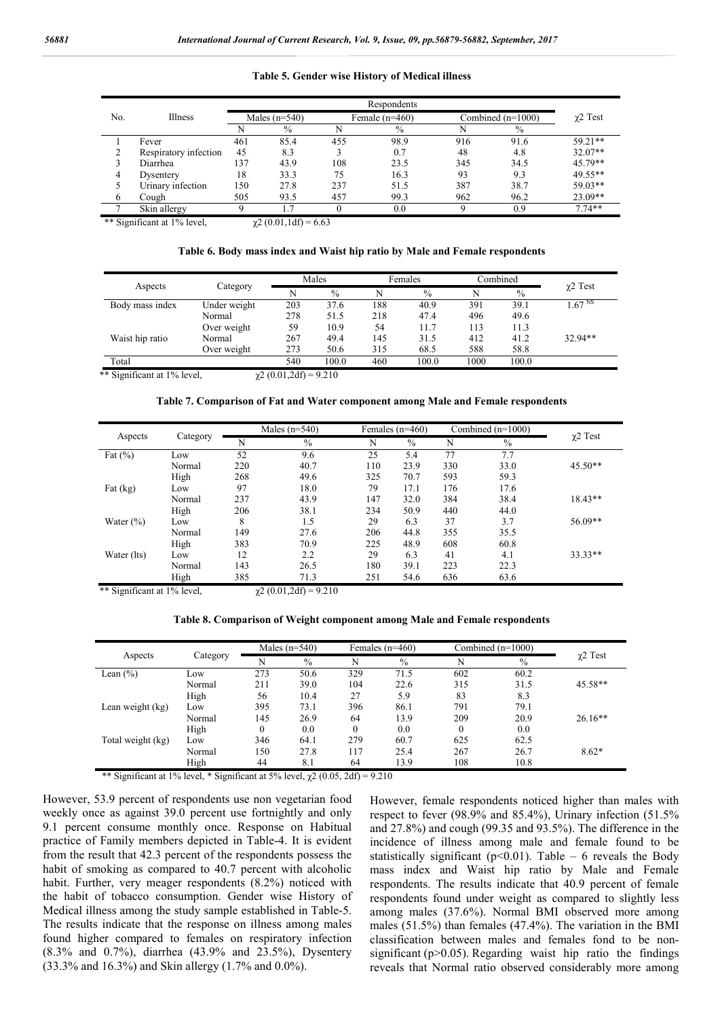| No.      | Illness               | Males $(n=540)$ |      | Female $(n=460)$ |               |          | Combined $(n=1000)$ | $\chi$ 2 Test |
|----------|-----------------------|-----------------|------|------------------|---------------|----------|---------------------|---------------|
|          |                       | N               | $\%$ | N                | $\frac{0}{0}$ | N        | $\frac{0}{0}$       |               |
|          | Fever                 | 461             | 85.4 | 455              | 98.9          | 916      | 91.6                | $59.21**$     |
|          | Respiratory infection | 45              | 8.3  |                  | 0.7           | 48       | 4.8                 | $32.07**$     |
|          | Diarrhea              | 137             | 43.9 | 108              | 23.5          | 345      | 34.5                | 45.79**       |
| 4        | Dysentery             | 18              | 33.3 | 75               | 16.3          | 93       | 9.3                 | 49.55**       |
|          | Urinary infection     | 150             | 27.8 | 237              | 51.5          | 387      | 38.7                | $59.03**$     |
| $\sigma$ | Cough                 | 505             | 93.5 | 457              | 99.3          | 962      | 96.2                | $23.09**$     |
|          | Skin allergy          | $\mathbf Q$     |      | $\Omega$         | 0.0           | $\Omega$ | 0.9                 | $7.74**$      |

#### **Table 5. Gender wise History of Medical illness**

\*\* Significant at 1% level,  $\gamma^2 (0.01, 1 \text{ d}f) = 6.63$ 

#### **Table 6. Body mass index and Waist hip ratio by Male and Female respondents**

|                             |              | Males                       |       | Females |               | Combined |               |                    |
|-----------------------------|--------------|-----------------------------|-------|---------|---------------|----------|---------------|--------------------|
| Aspects                     | Category     | N                           | $\%$  | N       | $\frac{0}{0}$ | N        | $\frac{0}{0}$ | $\gamma$ 2 Test    |
| Body mass index             | Under weight | 203                         | 37.6  | 188     | 40.9          | 391      | 39.1          | 1.67 <sup>NS</sup> |
|                             | Normal       | 278                         | 51.5  | 218     | 47.4          | 496      | 49.6          |                    |
|                             | Over weight  | 59                          | 10.9  | 54      | 11.7          | 113      | 11.3          |                    |
| Waist hip ratio             | Normal       | 267                         | 49.4  | 145     | 31.5          | 412      | 41.2          | 32.94**            |
|                             | Over weight  | 273                         | 50.6  | 315     | 68.5          | 588      | 58.8          |                    |
| Total                       |              | 540                         | 100.0 | 460     | 100.0         | 1000     | 100.0         |                    |
| ** Significant at 1% level, |              | $\chi$ 2 (0.01,2df) = 9.210 |       |         |               |          |               |                    |

| Table 7. Comparison of Fat and Water component among Male and Female respondents |  |  |  |
|----------------------------------------------------------------------------------|--|--|--|
|                                                                                  |  |  |  |

|               |          | Males $(n=540)$ |      |     | Females $(n=460)$ |     | Combined $(n=1000)$ |                 |
|---------------|----------|-----------------|------|-----|-------------------|-----|---------------------|-----------------|
| Aspects       | Category | N               | $\%$ | N   | $\frac{0}{0}$     | N   | $\%$                | $\gamma$ 2 Test |
| Fat $(\%)$    | Low      | 52              | 9.6  | 25  | 5.4               | 77  | 7.7                 |                 |
|               | Normal   | 220             | 40.7 | 110 | 23.9              | 330 | 33.0                | $45.50**$       |
|               | High     | 268             | 49.6 | 325 | 70.7              | 593 | 59.3                |                 |
| Fat $(kg)$    | Low      | 97              | 18.0 | 79  | 17.1              | 176 | 17.6                |                 |
|               | Normal   | 237             | 43.9 | 147 | 32.0              | 384 | 38.4                | $18.43**$       |
|               | High     | 206             | 38.1 | 234 | 50.9              | 440 | 44.0                |                 |
| Water $(\% )$ | Low      | 8               | 1.5  | 29  | 6.3               | 37  | 3.7                 | 56.09**         |
|               | Normal   | 149             | 27.6 | 206 | 44.8              | 355 | 35.5                |                 |
|               | High     | 383             | 70.9 | 225 | 48.9              | 608 | 60.8                |                 |
| Water (lts)   | Low      | 12              | 2.2  | 29  | 6.3               | 41  | 4.1                 | $33.33**$       |
|               | Normal   | 143             | 26.5 | 180 | 39.1              | 223 | 22.3                |                 |
|               | High     | 385             | 71.3 | 251 | 54.6              | 636 | 63.6                |                 |

\*\* Significant at 1% level,  $\gamma$ 2 (0.01,2df) = 9.210

#### **Table 8. Comparison of Weight component among Male and Female respondents**

| Aspects           |          | Males $(n=540)$ |      | Females $(n=460)$ |      | Combined $(n=1000)$ |               |               |
|-------------------|----------|-----------------|------|-------------------|------|---------------------|---------------|---------------|
|                   | Category | N               | $\%$ | N                 | $\%$ | N                   | $\frac{0}{0}$ | $\chi$ 2 Test |
| Lean $(\% )$      | Low      | 273             | 50.6 | 329               | 71.5 | 602                 | 60.2          |               |
|                   | Normal   | 211             | 39.0 | 104               | 22.6 | 315                 | 31.5          | 45.58**       |
|                   | High     | 56              | 10.4 | 27                | 5.9  | 83                  | 8.3           |               |
| Lean weight (kg)  | Low      | 395             | 73.1 | 396               | 86.1 | 791                 | 79.1          |               |
|                   | Normal   | 145             | 26.9 | 64                | 13.9 | 209                 | 20.9          | $26.16**$     |
|                   | High     |                 | 0.0  | $\Omega$          | 0.0  | $\theta$            | 0.0           |               |
| Total weight (kg) | Low      | 346             | 64.1 | 279               | 60.7 | 625                 | 62.5          |               |
|                   | Normal   | 150             | 27.8 | 117               | 25.4 | 267                 | 26.7          | $8.62*$       |
|                   | High     | 44              | 8.1  | 64                | 13.9 | 108                 | 10.8          |               |

\*\* Significant at 1% level, \* Significant at 5% level,  $\chi$ 2 (0.05, 2df) = 9.210

However, 53.9 percent of respondents use non vegetarian food weekly once as against 39.0 percent use fortnightly and only 9.1 percent consume monthly once. Response on Habitual practice of Family members depicted in Table-4. It is evident from the result that 42.3 percent of the respondents possess the habit of smoking as compared to 40.7 percent with alcoholic habit. Further, very meager respondents (8.2%) noticed with the habit of tobacco consumption. Gender wise History of Medical illness among the study sample established in Table-5. The results indicate that the response on illness among males found higher compared to females on respiratory infection (8.3% and 0.7%), diarrhea (43.9% and 23.5%), Dysentery (33.3% and 16.3%) and Skin allergy (1.7% and 0.0%).

However, female respondents noticed higher than males with respect to fever (98.9% and 85.4%), Urinary infection (51.5% and 27.8%) and cough (99.35 and 93.5%). The difference in the incidence of illness among male and female found to be statistically significant ( $p$ <0.01). Table – 6 reveals the Body mass index and Waist hip ratio by Male and Female respondents. The results indicate that 40.9 percent of female respondents found under weight as compared to slightly less among males (37.6%). Normal BMI observed more among males (51.5%) than females (47.4%). The variation in the BMI classification between males and females fond to be nonsignificant ( $p>0.05$ ). Regarding waist hip ratio the findings reveals that Normal ratio observed considerably more among